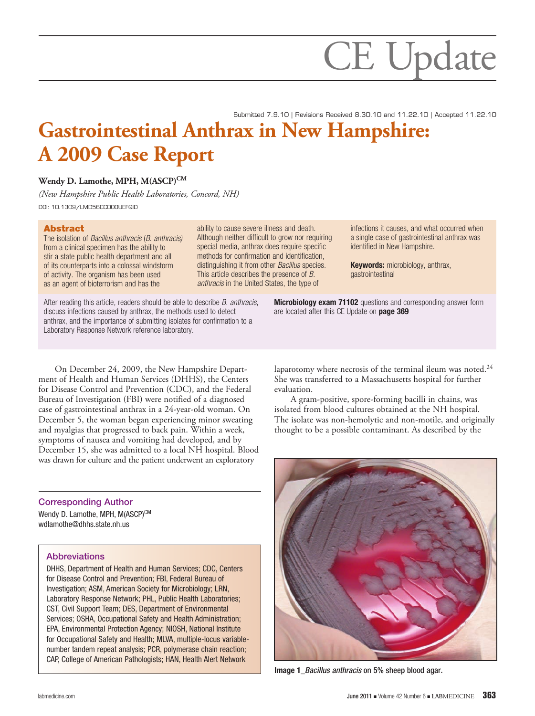# **Gastrointestinal Anthrax in New Hampshire: A 2009 Case Report**  Submitted 7.9.10 | Revisions Received 8.30.10 and 11.22.10 | Accepted 11.22.10

ability to cause severe illness and death.

special media, anthrax does require specific methods for confirmation and identification, distinguishing it from other *Bacillus* species. This article describes the presence of *B. anthracis* in the United States, the type of

# Wendy D. Lamothe, MPH, M(ASCP)<sup>CM</sup>

*(New Hampshire Public Health Laboratories, Concord, NH)* DOI: 10.1309/LMD56CC0OOUEFQID

## Abstract

The isolation of *Bacillus anthracis* (*B. anthracis)* from a clinical specimen has the ability to stir a state public health department and all of its counterparts into a colossal windstorm of activity. The organism has been used as an agent of bioterrorism and has the

After reading this article, readers should be able to describe *B. anthracis*, discuss infections caused by anthrax, the methods used to detect anthrax, and the importance of submitting isolates for confirmation to a Laboratory Response Network reference laboratory.

Although neither difficult to grow nor requiring infections it causes, and what occurred when a single case of gastrointestinal anthrax was identified in New Hampshire.

> **Keywords: microbiology, anthrax,** gastrointestinal

**Microbiology exam 71102** questions and corresponding answer form are located after this CE Update on page 369

On December 24, 2009, the New Hampshire Department of Health and Human Services (DHHS), the Centers for Disease Control and Prevention (CDC), and the Federal Bureau of Investigation (FBI) were notified of a diagnosed case of gastrointestinal anthrax in a 24-year-old woman. On December 5, the woman began experiencing minor sweating and myalgias that progressed to back pain. Within a week, symptoms of nausea and vomiting had developed, and by December 15, she was admitted to a local NH hospital. Blood was drawn for culture and the patient underwent an exploratory

# Corresponding Author

Wendy D. Lamothe, MPH, M(ASCP)CM wdlamothe@dhhs.state.nh.us

#### **Abbreviations**

DHHS, Department of Health and Human Services; CDC, Centers for Disease Control and Prevention; FBI, Federal Bureau of Investigation; ASM, American Society for Microbiology; LRN, Laboratory Response Network; PHL, Public Health Laboratories; CST, Civil Support Team; DES, Department of Environmental Services; OSHA, Occupational Safety and Health Administration; EPA, Environmental Protection Agency; NIOSH, National Institute for Occupational Safety and Health; MLVA, multiple-locus variablenumber tandem repeat analysis; PCR, polymerase chain reaction; CAP, College of American Pathologists; HAN, Health Alert Network

laparotomy where necrosis of the terminal ileum was noted.<sup>24</sup> She was transferred to a Massachusetts hospital for further evaluation.

A gram-positive, spore-forming bacilli in chains, was isolated from blood cultures obtained at the NH hospital. The isolate was non-hemolytic and non-motile, and originally thought to be a possible contaminant. As described by the



Image 1\_*Bacillus anthracis* on 5% sheep blood agar.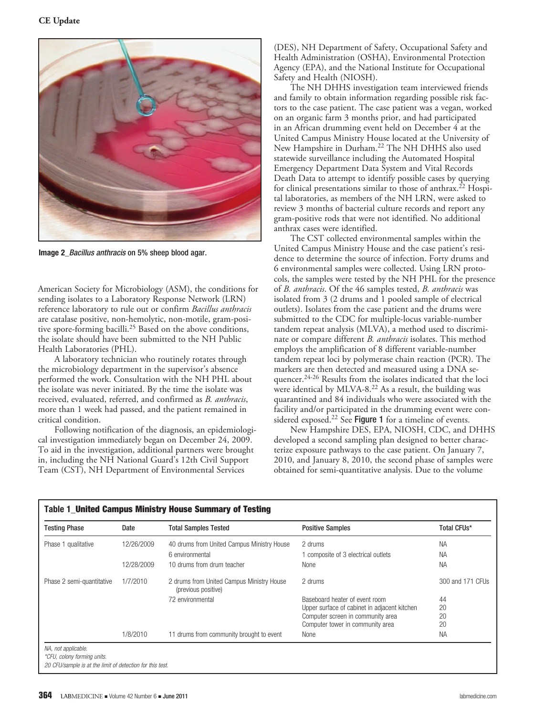

Image 2\_*Bacillus anthracis* on 5% sheep blood agar.

American Society for Microbiology (ASM), the conditions for sending isolates to a Laboratory Response Network (LRN) reference laboratory to rule out or confirm *Bacillus anthracis* are catalase positive, non-hemolytic, non-motile, gram-positive spore-forming bacilli.25 Based on the above conditions, the isolate should have been submitted to the NH Public Health Laboratories (PHL).

A laboratory technician who routinely rotates through the microbiology department in the supervisor's absence performed the work. Consultation with the NH PHL about the isolate was never initiated. By the time the isolate was received, evaluated, referred, and confirmed as *B. anthracis*, more than 1 week had passed, and the patient remained in critical condition.

Following notification of the diagnosis, an epidemiological investigation immediately began on December 24, 2009. To aid in the investigation, additional partners were brought in, including the NH National Guard's 12th Civil Support Team (CST), NH Department of Environmental Services

(DES), NH Department of Safety, Occupational Safety and Health Administration (OSHA), Environmental Protection Agency (EPA), and the National Institute for Occupational Safety and Health (NIOSH).

The NH DHHS investigation team interviewed friends and family to obtain information regarding possible risk factors to the case patient. The case patient was a vegan, worked on an organic farm 3 months prior, and had participated in an African drumming event held on December 4 at the United Campus Ministry House located at the University of New Hampshire in Durham.22 The NH DHHS also used statewide surveillance including the Automated Hospital Emergency Department Data System and Vital Records Death Data to attempt to identify possible cases by querying for clinical presentations similar to those of anthrax.<sup>22</sup> Hospital laboratories, as members of the NH LRN, were asked to review 3 months of bacterial culture records and report any gram-positive rods that were not identified. No additional anthrax cases were identified.

The CST collected environmental samples within the United Campus Ministry House and the case patient's residence to determine the source of infection. Forty drums and 6 environmental samples were collected. Using LRN protocols, the samples were tested by the NH PHL for the presence of *B. anthracis*. Of the 46 samples tested, *B. anthracis* was isolated from 3 (2 drums and 1 pooled sample of electrical outlets). Isolates from the case patient and the drums were submitted to the CDC for multiple-locus variable-number tandem repeat analysis (MLVA), a method used to discriminate or compare different *B. anthracis* isolates. This method employs the amplification of 8 different variable-number tandem repeat loci by polymerase chain reaction (PCR). The markers are then detected and measured using a DNA sequencer.<sup>24-26</sup> Results from the isolates indicated that the loci were identical by MLVA-8.<sup>22</sup> As a result, the building was quarantined and 84 individuals who were associated with the facility and/or participated in the drumming event were considered exposed.<sup>22</sup> See Figure 1 for a timeline of events.

New Hampshire DES, EPA, NIOSH, CDC, and DHHS developed a second sampling plan designed to better characterize exposure pathways to the case patient. On January 7, 2010, and January 8, 2010, the second phase of samples were obtained for semi-quantitative analysis. Due to the volume

| <b>Testing Phase</b>      | Date       | <b>Total Samples Tested</b>                                      | <b>Positive Samples</b>                      | Total CFUs*      |
|---------------------------|------------|------------------------------------------------------------------|----------------------------------------------|------------------|
| Phase 1 qualitative       | 12/26/2009 | 40 drums from United Campus Ministry House                       | 2 drums                                      | <b>NA</b>        |
|                           |            | 6 environmental                                                  | 1 composite of 3 electrical outlets          | <b>NA</b>        |
|                           | 12/28/2009 | 10 drums from drum teacher                                       | None                                         | <b>NA</b>        |
| Phase 2 semi-quantitative | 1/7/2010   | 2 drums from United Campus Ministry House<br>(previous positive) | 2 drums                                      | 300 and 171 CFUs |
|                           |            | 72 environmental                                                 | Baseboard heater of event room               | 44               |
|                           |            |                                                                  | Upper surface of cabinet in adjacent kitchen | 20               |
|                           |            |                                                                  | Computer screen in community area            | 20               |
|                           |            |                                                                  | Computer tower in community area             | 20               |
|                           | 1/8/2010   | 11 drums from community brought to event                         | None                                         | <b>NA</b>        |

*20 CFU/sample is at the limit of detection for this test.*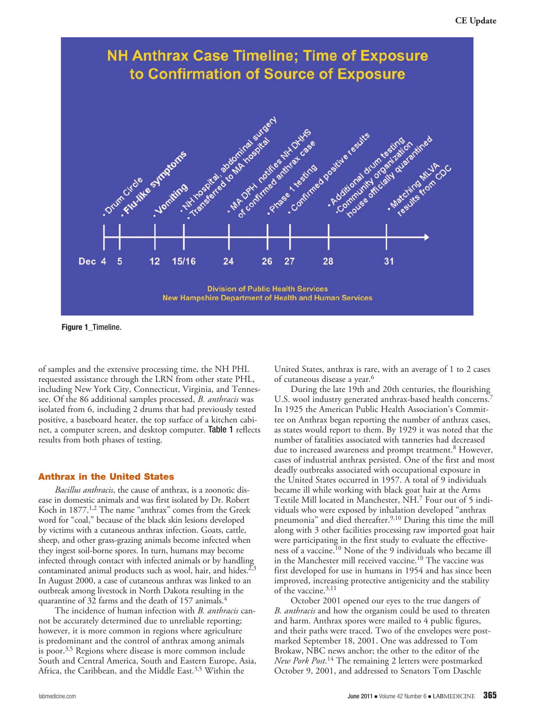

Figure 1 Timeline.

of samples and the extensive processing time, the NH PHL requested assistance through the LRN from other state PHL, including New York City, Connecticut, Virginia, and Tennessee. Of the 86 additional samples processed, *B. anthracis* was isolated from 6, including 2 drums that had previously tested positive, a baseboard heater, the top surface of a kitchen cabinet, a computer screen, and desktop computer. Table 1 reflects results from both phases of testing.

#### Anthrax in the United States

*Bacillus anthracis*, the cause of anthrax, is a zoonotic disease in domestic animals and was first isolated by Dr. Robert Koch in 1877.<sup>1,2</sup> The name "anthrax" comes from the Greek word for "coal," because of the black skin lesions developed by victims with a cutaneous anthrax infection. Goats, cattle, sheep, and other grass-grazing animals become infected when they ingest soil-borne spores. In turn, humans may become infected through contact with infected animals or by handling contaminated animal products such as wool, hair, and hides. $2,3$ In August 2000, a case of cutaneous anthrax was linked to an outbreak among livestock in North Dakota resulting in the quarantine of 32 farms and the death of 157 animals.4

The incidence of human infection with *B. anthracis* cannot be accurately determined due to unreliable reporting; however, it is more common in regions where agriculture is predominant and the control of anthrax among animals is poor. $3,5$  Regions where disease is more common include South and Central America, South and Eastern Europe, Asia, Africa, the Caribbean, and the Middle East.<sup>3,5</sup> Within the

United States, anthrax is rare, with an average of 1 to 2 cases of cutaneous disease a year.<sup>6</sup>

During the late 19th and 20th centuries, the flourishing U.S. wool industry generated anthrax-based health concerns.<sup>7</sup> In 1925 the American Public Health Association's Committee on Anthrax began reporting the number of anthrax cases, as states would report to them. By 1929 it was noted that the number of fatalities associated with tanneries had decreased due to increased awareness and prompt treatment.<sup>8</sup> However, cases of industrial anthrax persisted. One of the first and most deadly outbreaks associated with occupational exposure in the United States occurred in 1957. A total of 9 individuals became ill while working with black goat hair at the Arms Textile Mill located in Manchester, NH.7 Four out of 5 individuals who were exposed by inhalation developed "anthrax pneumonia" and died thereafter.9,10 During this time the mill along with 3 other facilities processing raw imported goat hair were participating in the first study to evaluate the effectiveness of a vaccine.10 None of the 9 individuals who became ill in the Manchester mill received vaccine.10 The vaccine was first developed for use in humans in 1954 and has since been improved, increasing protective antigenicity and the stability of the vaccine.3,11

October 2001 opened our eyes to the true dangers of *B. anthracis* and how the organism could be used to threaten and harm. Anthrax spores were mailed to 4 public figures, and their paths were traced. Two of the envelopes were postmarked September 18, 2001. One was addressed to Tom Brokaw, NBC news anchor; the other to the editor of the *New Pork Post*. 14 The remaining 2 letters were postmarked October 9, 2001, and addressed to Senators Tom Daschle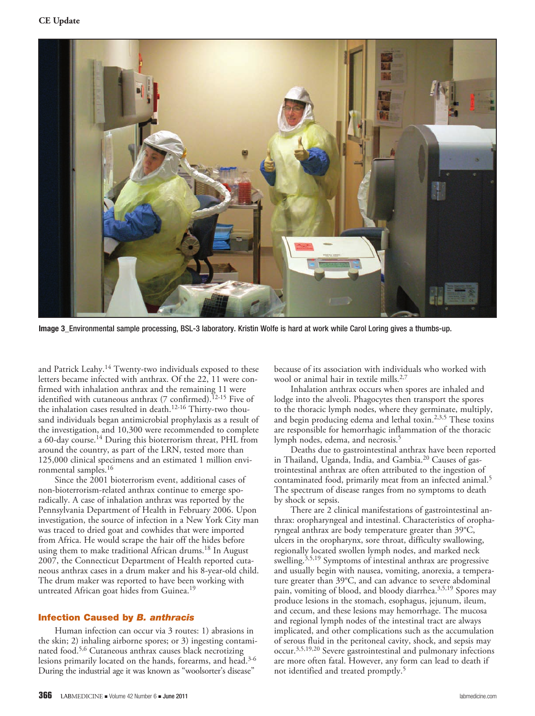

Image 3\_Environmental sample processing, BSL-3 laboratory. Kristin Wolfe is hard at work while Carol Loring gives a thumbs-up.

and Patrick Leahy.<sup>14</sup> Twenty-two individuals exposed to these letters became infected with anthrax. Of the 22, 11 were confirmed with inhalation anthrax and the remaining 11 were identified with cutaneous anthrax (7 confirmed).<sup>12-15</sup> Five of the inhalation cases resulted in death.<sup>12-16</sup> Thirty-two thousand individuals began antimicrobial prophylaxis as a result of the investigation, and 10,300 were recommended to complete a 60-day course.<sup>14</sup> During this bioterrorism threat, PHL from around the country, as part of the LRN, tested more than 125,000 clinical specimens and an estimated 1 million environmental samples.16

Since the 2001 bioterrorism event, additional cases of non-bioterrorism-related anthrax continue to emerge sporadically. A case of inhalation anthrax was reported by the Pennsylvania Department of Health in February 2006. Upon investigation, the source of infection in a New York City man was traced to dried goat and cowhides that were imported from Africa. He would scrape the hair off the hides before using them to make traditional African drums.18 In August 2007, the Connecticut Department of Health reported cutaneous anthrax cases in a drum maker and his 8-year-old child. The drum maker was reported to have been working with untreated African goat hides from Guinea.<sup>19</sup>

#### Infection Caused by *B. anthracis*

Human infection can occur via 3 routes: 1) abrasions in the skin; 2) inhaling airborne spores; or 3) ingesting contaminated food.<sup>5,6</sup> Cutaneous anthrax causes black necrotizing lesions primarily located on the hands, forearms, and head.3-6 During the industrial age it was known as "woolsorter's disease"

because of its association with individuals who worked with wool or animal hair in textile mills.<sup>2,7</sup>

Inhalation anthrax occurs when spores are inhaled and lodge into the alveoli. Phagocytes then transport the spores to the thoracic lymph nodes, where they germinate, multiply, and begin producing edema and lethal toxin.<sup>2,3,5</sup> These toxins are responsible for hemorrhagic inflammation of the thoracic lymph nodes, edema, and necrosis.<sup>5</sup>

Deaths due to gastrointestinal anthrax have been reported in Thailand, Uganda, India, and Gambia.20 Causes of gastrointestinal anthrax are often attributed to the ingestion of contaminated food, primarily meat from an infected animal.<sup>5</sup> The spectrum of disease ranges from no symptoms to death by shock or sepsis.

There are 2 clinical manifestations of gastrointestinal anthrax: oropharyngeal and intestinal. Characteristics of oropharyngeal anthrax are body temperature greater than 39°C, ulcers in the oropharynx, sore throat, difficulty swallowing, regionally located swollen lymph nodes, and marked neck swelling.<sup>3,5,19</sup> Symptoms of intestinal anthrax are progressive and usually begin with nausea, vomiting, anorexia, a temperature greater than 39°C, and can advance to severe abdominal pain, vomiting of blood, and bloody diarrhea.<sup>3,5,19</sup> Spores may produce lesions in the stomach, esophagus, jejunum, ileum, and cecum, and these lesions may hemorrhage. The mucosa and regional lymph nodes of the intestinal tract are always implicated, and other complications such as the accumulation of serous fluid in the peritoneal cavity, shock, and sepsis may occur.3,5,19,20 Severe gastrointestinal and pulmonary infections are more often fatal. However, any form can lead to death if not identified and treated promptly.5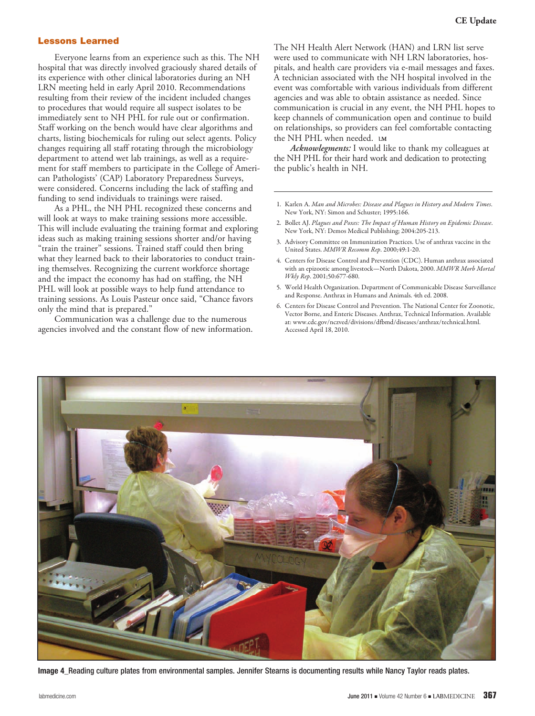#### Lessons Learned

Everyone learns from an experience such as this. The NH hospital that was directly involved graciously shared details of its experience with other clinical laboratories during an NH LRN meeting held in early April 2010. Recommendations resulting from their review of the incident included changes to procedures that would require all suspect isolates to be immediately sent to NH PHL for rule out or confirmation. Staff working on the bench would have clear algorithms and charts, listing biochemicals for ruling out select agents. Policy changes requiring all staff rotating through the microbiology department to attend wet lab trainings, as well as a requirement for staff members to participate in the College of American Pathologists' (CAP) Laboratory Preparedness Surveys, were considered. Concerns including the lack of staffing and funding to send individuals to trainings were raised.

As a PHL, the NH PHL recognized these concerns and will look at ways to make training sessions more accessible. This will include evaluating the training format and exploring ideas such as making training sessions shorter and/or having "train the trainer" sessions. Trained staff could then bring what they learned back to their laboratories to conduct training themselves. Recognizing the current workforce shortage and the impact the economy has had on staffing, the NH PHL will look at possible ways to help fund attendance to training sessions. As Louis Pasteur once said, "Chance favors only the mind that is prepared."

Communication was a challenge due to the numerous agencies involved and the constant flow of new information. The NH Health Alert Network (HAN) and LRN list serve were used to communicate with NH LRN laboratories, hospitals, and health care providers via e-mail messages and faxes. A technician associated with the NH hospital involved in the event was comfortable with various individuals from different agencies and was able to obtain assistance as needed. Since communication is crucial in any event, the NH PHL hopes to keep channels of communication open and continue to build on relationships, so providers can feel comfortable contacting the NH PHL when needed. **<sup>L</sup><sup>M</sup>**

*Acknowlegments:* I would like to thank my colleagues at the NH PHL for their hard work and dedication to protecting the public's health in NH.

- 1. Karlen A. *Man and Microbes: Disease and Plagues in History and Modern Times*. New York, NY: Simon and Schuster; 1995:166.
- 2. Bollet AJ. *Plagues and Poxes: The Impact of Human History on Epidemic Disease*. New York, NY: Demos Medical Publishing; 2004:205-213.
- 3. Advisory Committee on Immunization Practices. Use of anthrax vaccine in the United States. *MMWR Recomm Rep*. 2000;49:1-20.
- 4. Centers for Disease Control and Prevention (CDC). Human anthrax associated with an epizootic among livestock—North Dakota, 2000. *MMWR Morb Mortal Wkly Rep*. 2001;50:677-680.
- 5. World Health Organization. Department of Communicable Disease Surveillance and Response. Anthrax in Humans and Animals. 4th ed. 2008.
- 6. Centers for Disease Control and Prevention. The National Center for Zoonotic, Vector Borne, and Enteric Diseases. Anthrax, Technical Information. Available at: www.cdc.gov/nczved/divisions/dfbmd/diseases/anthrax/technical.html. Accessed April 18, 2010.



Image 4 Reading culture plates from environmental samples. Jennifer Stearns is documenting results while Nancy Taylor reads plates.